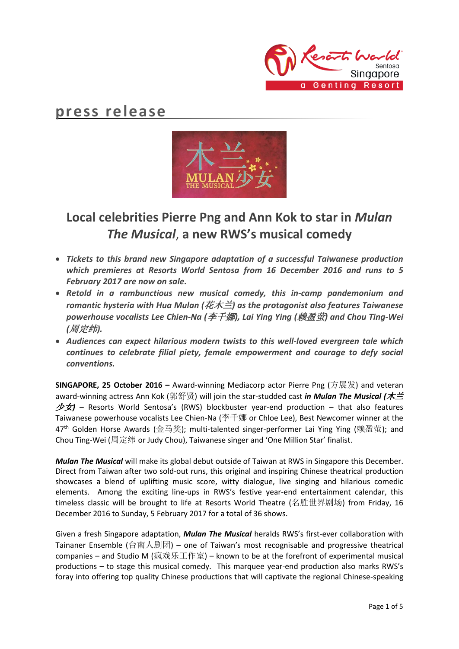

# **press release**



# **Local celebrities Pierre Png and Ann Kok to star in** *Mulan The Musical*, **a new RWS's musical comedy**

- *Tickets to this brand new Singapore adaptation of a successful Taiwanese production which premieres at Resorts World Sentosa from 16 December 2016 and runs to 5 February 2017 are now on sale.*
- *Retold in a rambunctious new musical comedy, this in-camp pandemonium and romantic hysteria with Hua Mulan (*花木兰*) as the protagonist also features Taiwanese powerhouse vocalists Lee Chien-Na (*李千娜*), Lai Ying Ying (*赖盈萤*) and Chou Ting-Wei (*周定纬*).*
- *Audiences can expect hilarious modern twists to this well-loved evergreen tale which continues to celebrate filial piety, female empowerment and courage to defy social conventions.*

**SINGAPORE, 25 October 2016 –** Award-winning Mediacorp actor Pierre Png (方展发) and veteran award-winning actress Ann Kok (郭舒贤) will join the star-studded cast *in Mulan The Musical (*木兰 少女*)* – Resorts World Sentosa's (RWS) blockbuster year-end production – that also features Taiwanese powerhouse vocalists Lee Chien-Na (李千娜 or Chloe Lee), Best Newcomer winner at the 47th Golden Horse Awards (金马奖); multi-talented singer-performer Lai Ying Ying (赖盈萤); and Chou Ting-Wei (周定纬 or Judy Chou), Taiwanese singer and 'One Million Star' finalist.

*Mulan The Musical* will make its global debut outside of Taiwan at RWS in Singapore this December. Direct from Taiwan after two sold-out runs, this original and inspiring Chinese theatrical production showcases a blend of uplifting music score, witty dialogue, live singing and hilarious comedic elements. Among the exciting line-ups in RWS's festive year-end entertainment calendar, this timeless classic will be brought to life at Resorts World Theatre (名胜世界剧场) from Friday, 16 December 2016 to Sunday, 5 February 2017 for a total of 36 shows.

Given a fresh Singapore adaptation, *Mulan The Musical* heralds RWS's first-ever collaboration with Tainaner Ensemble (台南人剧团) – one of Taiwan's most recognisable and progressive theatrical companies – and Studio M (疯戏乐工作室) – known to be at the forefront of experimental musical productions – to stage this musical comedy. This marquee year-end production also marks RWS's foray into offering top quality Chinese productions that will captivate the regional Chinese-speaking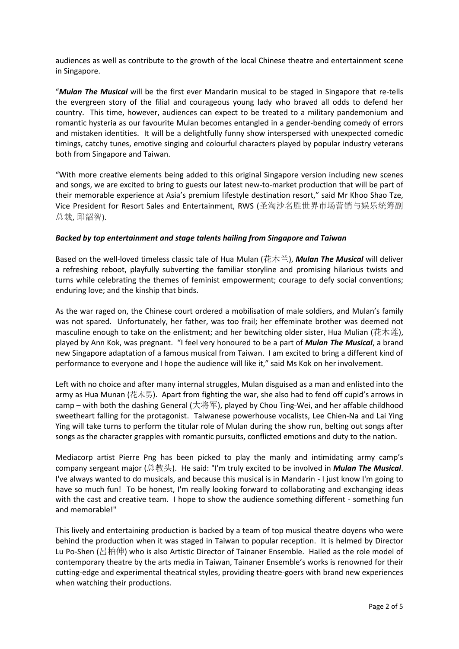audiences as well as contribute to the growth of the local Chinese theatre and entertainment scene in Singapore.

"*Mulan The Musical* will be the first ever Mandarin musical to be staged in Singapore that re-tells the evergreen story of the filial and courageous young lady who braved all odds to defend her country. This time, however, audiences can expect to be treated to a military pandemonium and romantic hysteria as our favourite Mulan becomes entangled in a gender-bending comedy of errors and mistaken identities. It will be a delightfully funny show interspersed with unexpected comedic timings, catchy tunes, emotive singing and colourful characters played by popular industry veterans both from Singapore and Taiwan.

"With more creative elements being added to this original Singapore version including new scenes and songs, we are excited to bring to guests our latest new-to-market production that will be part of their memorable experience at Asia's premium lifestyle destination resort," said Mr Khoo Shao Tze, Vice President for Resort Sales and Entertainment, RWS (圣淘沙名胜世界市场营销与娱乐统筹副 总裁, 邱韶智).

## *Backed by top entertainment and stage talents hailing from Singapore and Taiwan*

Based on the well-loved timeless classic tale of Hua Mulan (花木兰), *Mulan The Musical* will deliver a refreshing reboot, playfully subverting the familiar storyline and promising hilarious twists and turns while celebrating the themes of feminist empowerment; courage to defy social conventions; enduring love; and the kinship that binds.

As the war raged on, the Chinese court ordered a mobilisation of male soldiers, and Mulan's family was not spared. Unfortunately, her father, was too frail; her effeminate brother was deemed not masculine enough to take on the enlistment; and her bewitching older sister, Hua Mulian (花木莲), played by Ann Kok, was pregnant. "I feel very honoured to be a part of *Mulan The Musical*, a brand new Singapore adaptation of a famous musical from Taiwan. I am excited to bring a different kind of performance to everyone and I hope the audience will like it," said Ms Kok on her involvement.

Left with no choice and after many internal struggles, Mulan disguised as a man and enlisted into the army as Hua Munan (花木男). Apart from fighting the war, she also had to fend off cupid's arrows in camp – with both the dashing General (大将军), played by Chou Ting-Wei, and her affable childhood sweetheart falling for the protagonist. Taiwanese powerhouse vocalists, Lee Chien-Na and Lai Ying Ying will take turns to perform the titular role of Mulan during the show run, belting out songs after songs as the character grapples with romantic pursuits, conflicted emotions and duty to the nation.

Mediacorp artist Pierre Png has been picked to play the manly and intimidating army camp's company sergeant major (总教头). He said: "I'm truly excited to be involved in *Mulan The Musical*. I've always wanted to do musicals, and because this musical is in Mandarin - I just know I'm going to have so much fun! To be honest, I'm really looking forward to collaborating and exchanging ideas with the cast and creative team. I hope to show the audience something different - something fun and memorable!"

This lively and entertaining production is backed by a team of top musical theatre doyens who were behind the production when it was staged in Taiwan to popular reception. It is helmed by Director Lu Po-Shen (呂柏伸) who is also Artistic Director of Tainaner Ensemble. Hailed as the role model of contemporary theatre by the arts media in Taiwan, Tainaner Ensemble's works is renowned for their cutting-edge and experimental theatrical styles, providing theatre-goers with brand new experiences when watching their productions.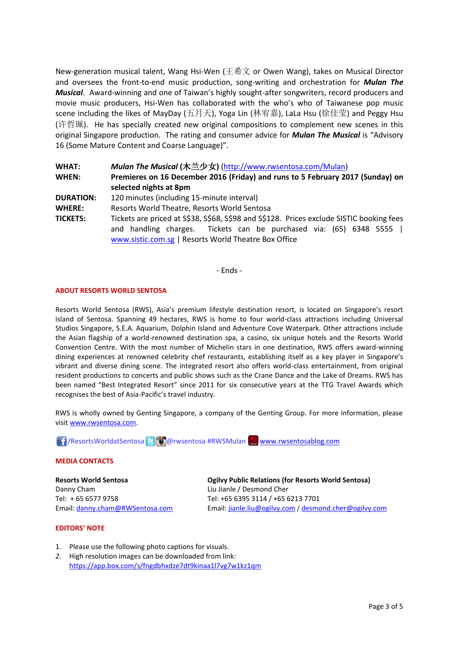New-generation musical talent, Wang Hsi-Wen (王希文 or Owen Wang), takes on Musical Director and oversees the front-to-end music production, song-writing and orchestration for *Mulan The Musical*. Award-winning and one of Taiwan's highly sought-after songwriters, record producers and movie music producers, Hsi-Wen has collaborated with the who's who of Taiwanese pop music scene including the likes of MayDay (五月天), Yoga Lin (林宥嘉), LaLa Hsu (徐佳莹) and Peggy Hsu (许哲珮). He has specially created new original compositions to complement new scenes in this original Singapore production. The rating and consumer advice for *Mulan The Musical* is "Advisory 16 (Some Mature Content and Coarse Language)".

**WHAT:** *Mulan The Musical* **(**木兰少女**)** [\(http://www.rwsentosa.com/Mulan\)](http://www.rwsentosa.com/Mulan) **WHEN: Premieres on 16 December 2016 (Friday) and runs to 5 February 2017 (Sunday) on selected nights at 8pm DURATION:** 120 minutes (including 15-minute interval) **WHERE:** Resorts World Theatre, Resorts World Sentosa **TICKETS:** Tickets are priced at S\$38, S\$68, S\$98 and S\$128. Prices exclude SISTIC booking fees and handling charges. Tickets can be purchased via: (65) 6348 5555 | [www.sistic.com.sg](http://www.sistic.com.sg/) | Resorts World Theatre Box Office

- Ends -

### **ABOUT RESORTS WORLD SENTOSA**

Resorts World Sentosa (RWS), Asia's premium lifestyle destination resort, is located on Singapore's resort island of Sentosa. Spanning 49 hectares, RWS is home to four world-class attractions including Universal Studios Singapore, S.E.A. Aquarium, Dolphin Island and Adventure Cove Waterpark. Other attractions include the Asian flagship of a world-renowned destination spa, a casino, six unique hotels and the Resorts World Convention Centre. With the most number of Michelin stars in one destination, RWS offers award-winning dining experiences at renowned celebrity chef restaurants, establishing itself as a key player in Singapore's vibrant and diverse dining scene. The integrated resort also offers world-class entertainment, from original resident productions to concerts and public shows such as the Crane Dance and the Lake of Dreams. RWS has been named "Best Integrated Resort" since 2011 for six consecutive years at the TTG Travel Awards which recognises the best of Asia-Pacific's travel industry.

RWS is wholly owned by Genting Singapore, a company of the Genting Group. For more information, please visi[t www.rwsentosa.com.](http://www.rwsentosa.com/)

1 / ResortsWorldatSentosa 8 0 @rwsentosa #RWSMulan [www.rwsentosablog.com](http://www.rwsentosablog.com/)

#### **MEDIA CONTACTS**

**Resorts World Sentosa** Danny Cham Tel: + 65 6577 9758 Email: [danny.cham@RWSentosa.com](mailto:danny.cham@RWSentosa.com) **Ogilvy Public Relations (for Resorts World Sentosa)** Liu Jianle / Desmond Cher Tel: +65 6395 3114 / +65 6213 7701 Email[: jianle.liu@ogilvy.com](mailto:jianle.liu@ogilvy.com) / [desmond.cher@ogilvy.com](mailto:desmond.cher@ogilvy.com)

#### **EDITORS' NOTE**

- 1. Please use the following photo captions for visuals.
- *2.* High resolution images can be downloaded from link: <https://app.box.com/s/fngdbhxdze7dt9kinaa1l7vg7w1kz1qm>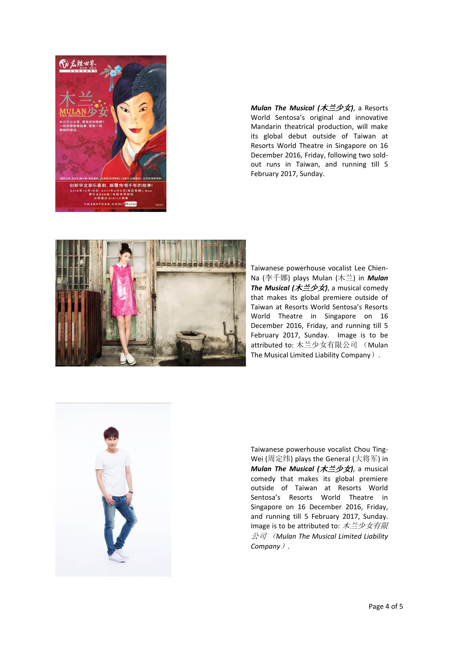

*Mulan The Musical (*木兰少女*)*, a Resorts World Sentosa's original and innovative Mandarin theatrical production, will make its global debut outside of Taiwan at Resorts World Theatre in Singapore on 16 December 2016, Friday, following two soldout runs in Taiwan, and running till 5 February 2017, Sunday.



Taiwanese powerhouse vocalist Lee Chien-Na (李千娜) plays Mulan (木兰) in *Mulan The Musical (*木兰少女*)*, a musical comedy that makes its global premiere outside of Taiwan at Resorts World Sentosa's Resorts World Theatre in Singapore on 16 December 2016, Friday, and running till 5 February 2017, Sunday. Image is to be attributed to: 木兰少女有限公司 (Mulan The Musical Limited Liability Company).



Taiwanese powerhouse vocalist Chou Ting-Wei (周定纬) plays the General (大将军) in *Mulan The Musical (*木兰少女*)*, a musical comedy that makes its global premiere outside of Taiwan at Resorts World Sentosa's Resorts World Theatre in Singapore on 16 December 2016, Friday, and running till 5 February 2017, Sunday. Image is to be attributed to:  $\overrightarrow{\mathcal{R}} \preceq \psi \overrightarrow{\mathcal{R}} \overrightarrow{\mathcal{R}}$ 公司 (*Mulan The Musical Limited Liability Company*)*.*